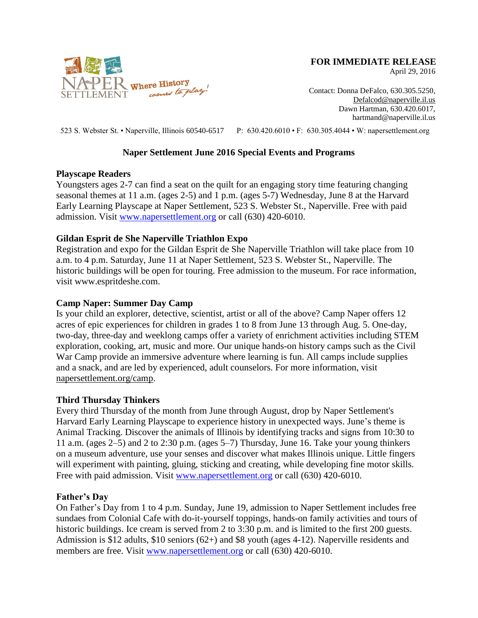

**FOR IMMEDIATE RELEASE**

April 29, 2016

Contact: Donna DeFalco, 630.305.5250, [Defalcod@naperville.il.us](mailto:Defalcod@naperville.il.us) Dawn Hartman, 630.420.6017, hartmand@naperville.il.us

523 S. Webster St. • Naperville, Illinois 60540-6517 P: 630.420.6010 • F: 630.305.4044 • W: napersettlement.org

# **Naper Settlement June 2016 Special Events and Programs**

#### **Playscape Readers**

Youngsters ages 2-7 can find a seat on the quilt for an engaging story time featuring changing seasonal themes at 11 a.m. (ages 2-5) and 1 p.m. (ages 5-7) Wednesday, June 8 at the Harvard Early Learning Playscape at Naper Settlement, 523 S. Webster St., Naperville. Free with paid admission. Visit [www.napersettlement.org](http://www.napersettlement.org/) or call (630) 420-6010.

# **Gildan Esprit de She Naperville Triathlon Expo**

Registration and expo for the Gildan Esprit de She Naperville Triathlon will take place from 10 a.m. to 4 p.m. Saturday, June 11 at Naper Settlement, 523 S. Webster St., Naperville. The historic buildings will be open for touring. Free admission to the museum. For race information, visit www.espritdeshe.com.

# **Camp Naper: Summer Day Camp**

Is your child an explorer, detective, scientist, artist or all of the above? Camp Naper offers 12 acres of epic experiences for children in grades 1 to 8 from June 13 through Aug. 5. One-day, two-day, three-day and weeklong camps offer a variety of enrichment activities including STEM exploration, cooking, art, music and more. Our unique hands-on history camps such as the Civil War Camp provide an immersive adventure where learning is fun. All camps include supplies and a snack, and are led by experienced, adult counselors. For more information, visit [napersettlement.org/camp.](http://www.napersettlement.org/camp)

# **Third Thursday Thinkers**

Every third Thursday of the month from June through August, drop by Naper Settlement's Harvard Early Learning Playscape to experience history in unexpected ways. June's theme is Animal Tracking. Discover the animals of Illinois by identifying tracks and signs from 10:30 to 11 a.m. (ages 2–5) and 2 to 2:30 p.m. (ages 5–7) Thursday, June 16. Take your young thinkers on a museum adventure, use your senses and discover what makes Illinois unique. Little fingers will experiment with painting, gluing, sticking and creating, while developing fine motor skills. Free with paid admission. Visit [www.napersettlement.org](http://www.napersettlement.org/) or call (630) 420-6010.

#### **Father's Day**

On Father's Day from 1 to 4 p.m. Sunday, June 19, admission to Naper Settlement includes free sundaes from Colonial Cafe with do-it-yourself toppings, hands-on family activities and tours of historic buildings. Ice cream is served from 2 to 3:30 p.m. and is limited to the first 200 guests. Admission is \$12 adults, \$10 seniors (62+) and \$8 youth (ages 4-12). Naperville residents and members are free. Visit [www.napersettlement.org](http://www.napersettlement.org/) or call (630) 420-6010.